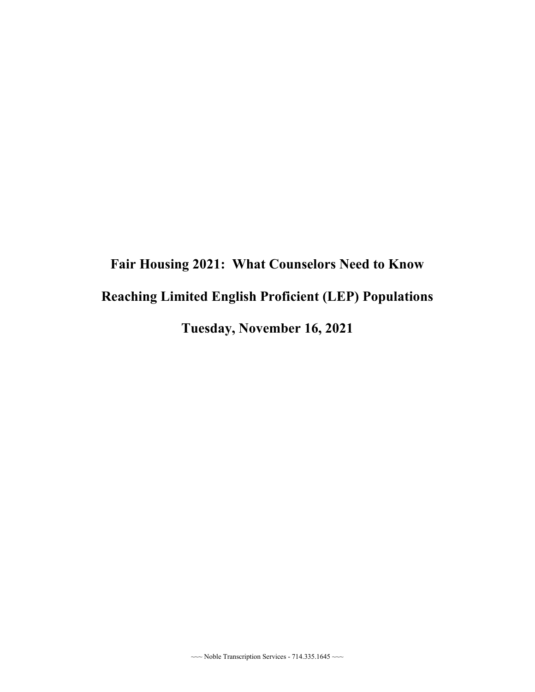## **Fair Housing 2021: What Counselors Need to Know Reaching Limited English Proficient (LEP) Populations Tuesday, November 16, 2021**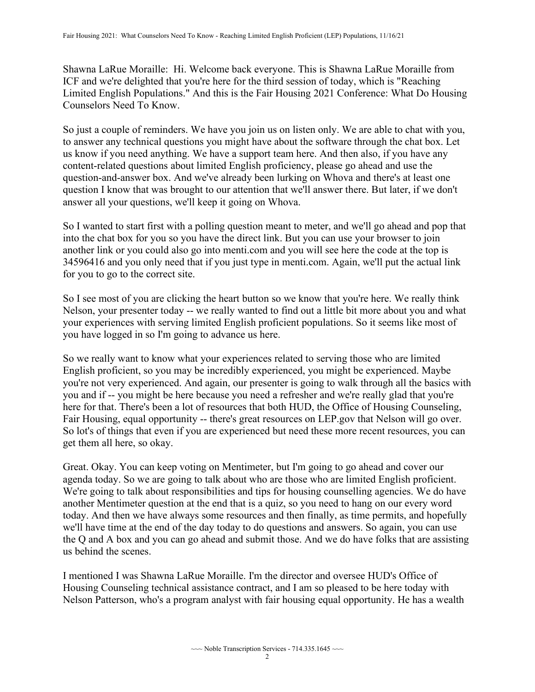Shawna LaRue Moraille: Hi. Welcome back everyone. This is Shawna LaRue Moraille from ICF and we're delighted that you're here for the third session of today, which is "Reaching Limited English Populations." And this is the Fair Housing 2021 Conference: What Do Housing Counselors Need To Know.

 us know if you need anything. We have a support team here. And then also, if you have any So just a couple of reminders. We have you join us on listen only. We are able to chat with you, to answer any technical questions you might have about the software through the chat box. Let content-related questions about limited English proficiency, please go ahead and use the question-and-answer box. And we've already been lurking on Whova and there's at least one question I know that was brought to our attention that we'll answer there. But later, if we don't answer all your questions, we'll keep it going on Whova.

So I wanted to start first with a polling question meant to meter, and we'll go ahead and pop that into the chat box for you so you have the direct link. But you can use your browser to join another link or you could also go into menti.com and you will see here the code at the top is 34596416 and you only need that if you just type in menti.com. Again, we'll put the actual link for you to go to the correct site.

So I see most of you are clicking the heart button so we know that you're here. We really think Nelson, your presenter today -- we really wanted to find out a little bit more about you and what your experiences with serving limited English proficient populations. So it seems like most of you have logged in so I'm going to advance us here.

 you and if -- you might be here because you need a refresher and we're really glad that you're Fair Housing, equal opportunity -- there's great resources on LEP.gov that Nelson will go over. So we really want to know what your experiences related to serving those who are limited English proficient, so you may be incredibly experienced, you might be experienced. Maybe you're not very experienced. And again, our presenter is going to walk through all the basics with here for that. There's been a lot of resources that both HUD, the Office of Housing Counseling, So lot's of things that even if you are experienced but need these more recent resources, you can get them all here, so okay.

 Great. Okay. You can keep voting on Mentimeter, but I'm going to go ahead and cover our agenda today. So we are going to talk about who are those who are limited English proficient. We're going to talk about responsibilities and tips for housing counselling agencies. We do have another Mentimeter question at the end that is a quiz, so you need to hang on our every word today. And then we have always some resources and then finally, as time permits, and hopefully we'll have time at the end of the day today to do questions and answers. So again, you can use the Q and A box and you can go ahead and submit those. And we do have folks that are assisting us behind the scenes.

 Nelson Patterson, who's a program analyst with fair housing equal opportunity. He has a wealth I mentioned I was Shawna LaRue Moraille. I'm the director and oversee HUD's Office of Housing Counseling technical assistance contract, and I am so pleased to be here today with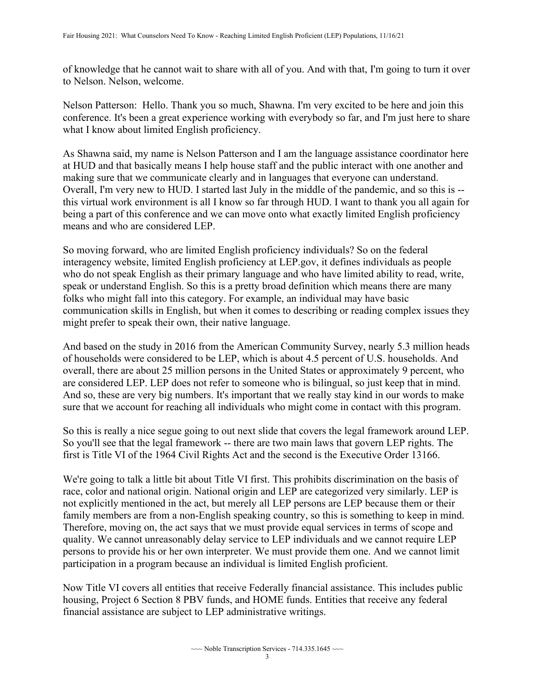of knowledge that he cannot wait to share with all of you. And with that, I'm going to turn it over to Nelson. Nelson, welcome.

 Nelson Patterson: Hello. Thank you so much, Shawna. I'm very excited to be here and join this conference. It's been a great experience working with everybody so far, and I'm just here to share what I know about limited English proficiency.

 Overall, I'm very new to HUD. I started last July in the middle of the pandemic, and so this is -- As Shawna said, my name is Nelson Patterson and I am the language assistance coordinator here at HUD and that basically means I help house staff and the public interact with one another and making sure that we communicate clearly and in languages that everyone can understand. this virtual work environment is all I know so far through HUD. I want to thank you all again for being a part of this conference and we can move onto what exactly limited English proficiency means and who are considered LEP.

So moving forward, who are limited English proficiency individuals? So on the federal interagency website, limited English proficiency at LEP.gov, it defines individuals as people who do not speak English as their primary language and who have limited ability to read, write, speak or understand English. So this is a pretty broad definition which means there are many folks who might fall into this category. For example, an individual may have basic communication skills in English, but when it comes to describing or reading complex issues they might prefer to speak their own, their native language.

And based on the study in 2016 from the American Community Survey, nearly 5.3 million heads of households were considered to be LEP, which is about 4.5 percent of U.S. households. And overall, there are about 25 million persons in the United States or approximately 9 percent, who are considered LEP. LEP does not refer to someone who is bilingual, so just keep that in mind. And so, these are very big numbers. It's important that we really stay kind in our words to make sure that we account for reaching all individuals who might come in contact with this program.

So this is really a nice segue going to out next slide that covers the legal framework around LEP. So you'll see that the legal framework -- there are two main laws that govern LEP rights. The first is Title VI of the 1964 Civil Rights Act and the second is the Executive Order 13166.

We're going to talk a little bit about Title VI first. This prohibits discrimination on the basis of race, color and national origin. National origin and LEP are categorized very similarly. LEP is not explicitly mentioned in the act, but merely all LEP persons are LEP because them or their family members are from a non-English speaking country, so this is something to keep in mind. Therefore, moving on, the act says that we must provide equal services in terms of scope and quality. We cannot unreasonably delay service to LEP individuals and we cannot require LEP persons to provide his or her own interpreter. We must provide them one. And we cannot limit participation in a program because an individual is limited English proficient.

 housing, Project 6 Section 8 PBV funds, and HOME funds. Entities that receive any federal Now Title VI covers all entities that receive Federally financial assistance. This includes public financial assistance are subject to LEP administrative writings.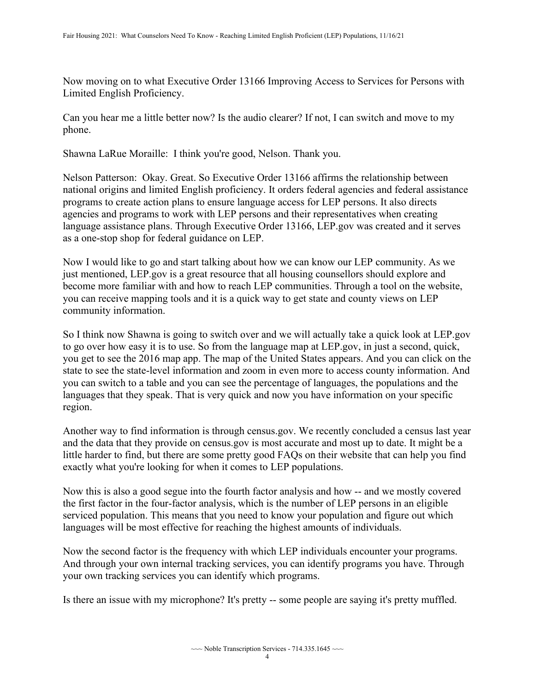Now moving on to what Executive Order 13166 Improving Access to Services for Persons with Limited English Proficiency.

Can you hear me a little better now? Is the audio clearer? If not, I can switch and move to my phone.

Shawna LaRue Moraille: I think you're good, Nelson. Thank you.

 language assistance plans. Through Executive Order 13166, LEP.gov was created and it serves Nelson Patterson: Okay. Great. So Executive Order 13166 affirms the relationship between national origins and limited English proficiency. It orders federal agencies and federal assistance programs to create action plans to ensure language access for LEP persons. It also directs agencies and programs to work with LEP persons and their representatives when creating as a one-stop shop for federal guidance on LEP.

Now I would like to go and start talking about how we can know our LEP community. As we just mentioned, LEP.gov is a great resource that all housing counsellors should explore and become more familiar with and how to reach LEP communities. Through a tool on the website, you can receive mapping tools and it is a quick way to get state and county views on LEP community information.

 So I think now Shawna is going to switch over and we will actually take a quick look at LEP.gov to go over how easy it is to use. So from the language map at LEP.gov, in just a second, quick, you get to see the 2016 map app. The map of the United States appears. And you can click on the state to see the state-level information and zoom in even more to access county information. And you can switch to a table and you can see the percentage of languages, the populations and the languages that they speak. That is very quick and now you have information on your specific region.

Another way to find information is through census.gov. We recently concluded a census last year and the data that they provide on census.gov is most accurate and most up to date. It might be a little harder to find, but there are some pretty good FAQs on their website that can help you find exactly what you're looking for when it comes to LEP populations.

 Now this is also a good segue into the fourth factor analysis and how -- and we mostly covered the first factor in the four-factor analysis, which is the number of LEP persons in an eligible serviced population. This means that you need to know your population and figure out which languages will be most effective for reaching the highest amounts of individuals.

Now the second factor is the frequency with which LEP individuals encounter your programs. And through your own internal tracking services, you can identify programs you have. Through your own tracking services you can identify which programs.

Is there an issue with my microphone? It's pretty -- some people are saying it's pretty muffled.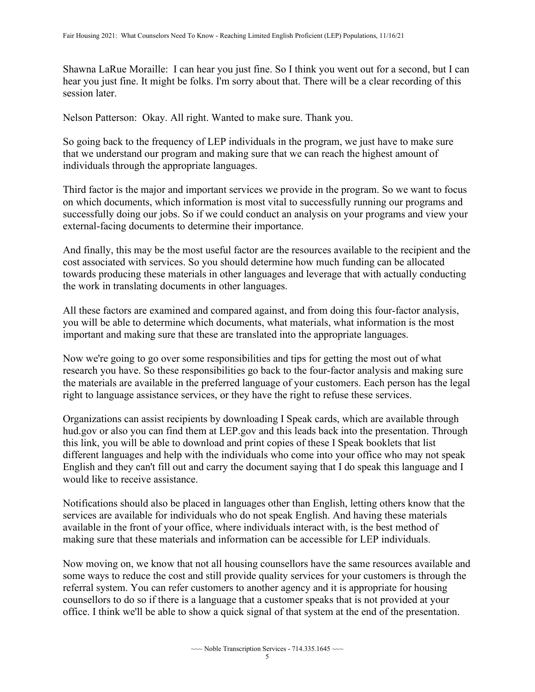Shawna LaRue Moraille: I can hear you just fine. So I think you went out for a second, but I can hear you just fine. It might be folks. I'm sorry about that. There will be a clear recording of this session later.

Nelson Patterson: Okay. All right. Wanted to make sure. Thank you.

So going back to the frequency of LEP individuals in the program, we just have to make sure that we understand our program and making sure that we can reach the highest amount of individuals through the appropriate languages.

Third factor is the major and important services we provide in the program. So we want to focus on which documents, which information is most vital to successfully running our programs and successfully doing our jobs. So if we could conduct an analysis on your programs and view your external-facing documents to determine their importance.

And finally, this may be the most useful factor are the resources available to the recipient and the cost associated with services. So you should determine how much funding can be allocated towards producing these materials in other languages and leverage that with actually conducting the work in translating documents in other languages.

All these factors are examined and compared against, and from doing this four-factor analysis, you will be able to determine which documents, what materials, what information is the most important and making sure that these are translated into the appropriate languages.

Now we're going to go over some responsibilities and tips for getting the most out of what research you have. So these responsibilities go back to the four-factor analysis and making sure the materials are available in the preferred language of your customers. Each person has the legal right to language assistance services, or they have the right to refuse these services.

 hud.gov or also you can find them at LEP.gov and this leads back into the presentation. Through Organizations can assist recipients by downloading I Speak cards, which are available through this link, you will be able to download and print copies of these I Speak booklets that list different languages and help with the individuals who come into your office who may not speak English and they can't fill out and carry the document saying that I do speak this language and I would like to receive assistance.

Notifications should also be placed in languages other than English, letting others know that the services are available for individuals who do not speak English. And having these materials available in the front of your office, where individuals interact with, is the best method of making sure that these materials and information can be accessible for LEP individuals.

Now moving on, we know that not all housing counsellors have the same resources available and some ways to reduce the cost and still provide quality services for your customers is through the referral system. You can refer customers to another agency and it is appropriate for housing counsellors to do so if there is a language that a customer speaks that is not provided at your office. I think we'll be able to show a quick signal of that system at the end of the presentation.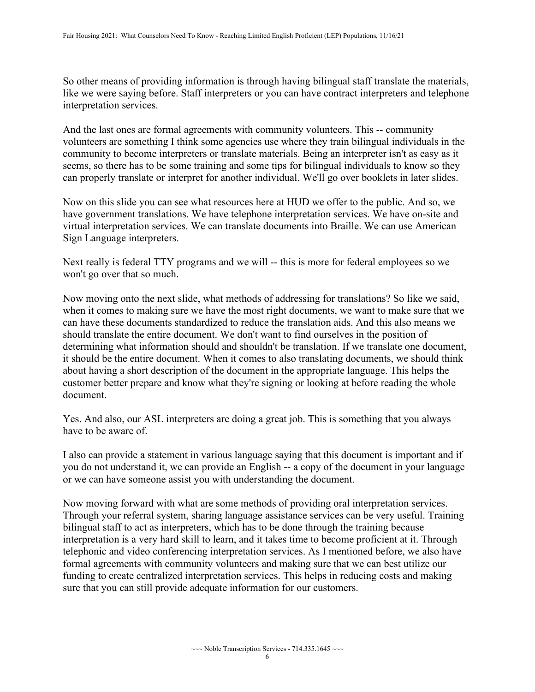So other means of providing information is through having bilingual staff translate the materials, like we were saying before. Staff interpreters or you can have contract interpreters and telephone interpretation services.

 And the last ones are formal agreements with community volunteers. This -- community can properly translate or interpret for another individual. We'll go over booklets in later slides. volunteers are something I think some agencies use where they train bilingual individuals in the community to become interpreters or translate materials. Being an interpreter isn't as easy as it seems, so there has to be some training and some tips for bilingual individuals to know so they

Now on this slide you can see what resources here at HUD we offer to the public. And so, we have government translations. We have telephone interpretation services. We have on-site and virtual interpretation services. We can translate documents into Braille. We can use American Sign Language interpreters.

 Next really is federal TTY programs and we will -- this is more for federal employees so we won't go over that so much.

 customer better prepare and know what they're signing or looking at before reading the whole Now moving onto the next slide, what methods of addressing for translations? So like we said, when it comes to making sure we have the most right documents, we want to make sure that we can have these documents standardized to reduce the translation aids. And this also means we should translate the entire document. We don't want to find ourselves in the position of determining what information should and shouldn't be translation. If we translate one document, it should be the entire document. When it comes to also translating documents, we should think about having a short description of the document in the appropriate language. This helps the document.

Yes. And also, our ASL interpreters are doing a great job. This is something that you always have to be aware of.

I also can provide a statement in various language saying that this document is important and if you do not understand it, we can provide an English -- a copy of the document in your language or we can have someone assist you with understanding the document.

Now moving forward with what are some methods of providing oral interpretation services. Through your referral system, sharing language assistance services can be very useful. Training bilingual staff to act as interpreters, which has to be done through the training because interpretation is a very hard skill to learn, and it takes time to become proficient at it. Through telephonic and video conferencing interpretation services. As I mentioned before, we also have formal agreements with community volunteers and making sure that we can best utilize our funding to create centralized interpretation services. This helps in reducing costs and making sure that you can still provide adequate information for our customers.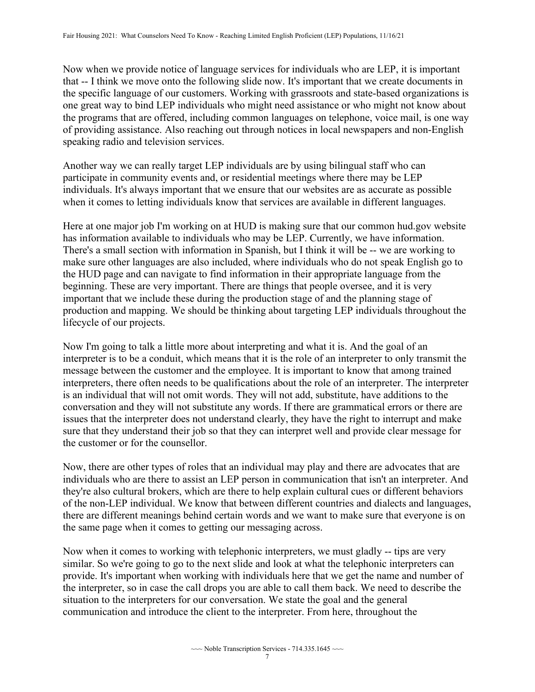Now when we provide notice of language services for individuals who are LEP, it is important that -- I think we move onto the following slide now. It's important that we create documents in the specific language of our customers. Working with grassroots and state-based organizations is one great way to bind LEP individuals who might need assistance or who might not know about the programs that are offered, including common languages on telephone, voice mail, is one way of providing assistance. Also reaching out through notices in local newspapers and non-English speaking radio and television services.

Another way we can really target LEP individuals are by using bilingual staff who can participate in community events and, or residential meetings where there may be LEP individuals. It's always important that we ensure that our websites are as accurate as possible when it comes to letting individuals know that services are available in different languages.

 There's a small section with information in Spanish, but I think it will be -- we are working to Here at one major job I'm working on at HUD is making sure that our common hud.gov website has information available to individuals who may be LEP. Currently, we have information. make sure other languages are also included, where individuals who do not speak English go to the HUD page and can navigate to find information in their appropriate language from the beginning. These are very important. There are things that people oversee, and it is very important that we include these during the production stage of and the planning stage of production and mapping. We should be thinking about targeting LEP individuals throughout the lifecycle of our projects.

Now I'm going to talk a little more about interpreting and what it is. And the goal of an interpreter is to be a conduit, which means that it is the role of an interpreter to only transmit the message between the customer and the employee. It is important to know that among trained interpreters, there often needs to be qualifications about the role of an interpreter. The interpreter is an individual that will not omit words. They will not add, substitute, have additions to the conversation and they will not substitute any words. If there are grammatical errors or there are issues that the interpreter does not understand clearly, they have the right to interrupt and make sure that they understand their job so that they can interpret well and provide clear message for the customer or for the counsellor.

Now, there are other types of roles that an individual may play and there are advocates that are individuals who are there to assist an LEP person in communication that isn't an interpreter. And they're also cultural brokers, which are there to help explain cultural cues or different behaviors of the non-LEP individual. We know that between different countries and dialects and languages, there are different meanings behind certain words and we want to make sure that everyone is on the same page when it comes to getting our messaging across.

 provide. It's important when working with individuals here that we get the name and number of Now when it comes to working with telephonic interpreters, we must gladly -- tips are very similar. So we're going to go to the next slide and look at what the telephonic interpreters can the interpreter, so in case the call drops you are able to call them back. We need to describe the situation to the interpreters for our conversation. We state the goal and the general communication and introduce the client to the interpreter. From here, throughout the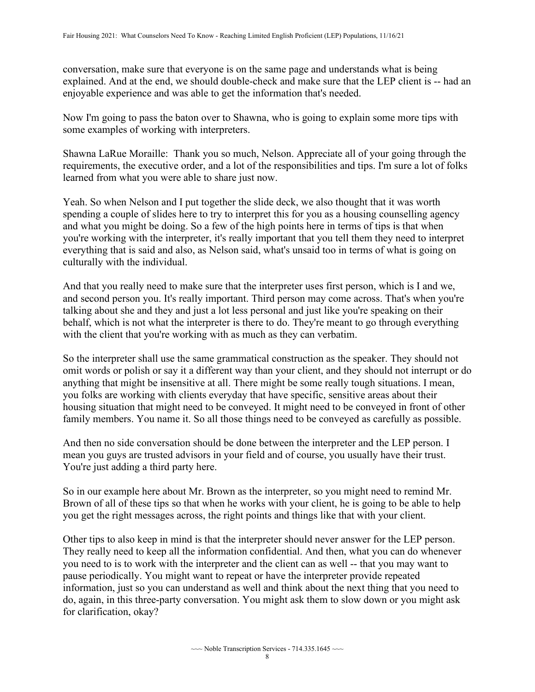conversation, make sure that everyone is on the same page and understands what is being explained. And at the end, we should double-check and make sure that the LEP client is -- had an enjoyable experience and was able to get the information that's needed.

Now I'm going to pass the baton over to Shawna, who is going to explain some more tips with some examples of working with interpreters.

Shawna LaRue Moraille: Thank you so much, Nelson. Appreciate all of your going through the requirements, the executive order, and a lot of the responsibilities and tips. I'm sure a lot of folks learned from what you were able to share just now.

Yeah. So when Nelson and I put together the slide deck, we also thought that it was worth spending a couple of slides here to try to interpret this for you as a housing counselling agency and what you might be doing. So a few of the high points here in terms of tips is that when you're working with the interpreter, it's really important that you tell them they need to interpret everything that is said and also, as Nelson said, what's unsaid too in terms of what is going on culturally with the individual.

And that you really need to make sure that the interpreter uses first person, which is I and we, and second person you. It's really important. Third person may come across. That's when you're talking about she and they and just a lot less personal and just like you're speaking on their behalf, which is not what the interpreter is there to do. They're meant to go through everything with the client that you're working with as much as they can verbatim.

So the interpreter shall use the same grammatical construction as the speaker. They should not omit words or polish or say it a different way than your client, and they should not interrupt or do anything that might be insensitive at all. There might be some really tough situations. I mean, you folks are working with clients everyday that have specific, sensitive areas about their housing situation that might need to be conveyed. It might need to be conveyed in front of other family members. You name it. So all those things need to be conveyed as carefully as possible.

And then no side conversation should be done between the interpreter and the LEP person. I mean you guys are trusted advisors in your field and of course, you usually have their trust. You're just adding a third party here.

So in our example here about Mr. Brown as the interpreter, so you might need to remind Mr. Brown of all of these tips so that when he works with your client, he is going to be able to help you get the right messages across, the right points and things like that with your client.

 you need to is to work with the interpreter and the client can as well -- that you may want to for clarification, okay? Other tips to also keep in mind is that the interpreter should never answer for the LEP person. They really need to keep all the information confidential. And then, what you can do whenever pause periodically. You might want to repeat or have the interpreter provide repeated information, just so you can understand as well and think about the next thing that you need to do, again, in this three-party conversation. You might ask them to slow down or you might ask for clarification, okay?<br>  $\sim$  Noble Transcription Services - 714.335.1645  $\sim$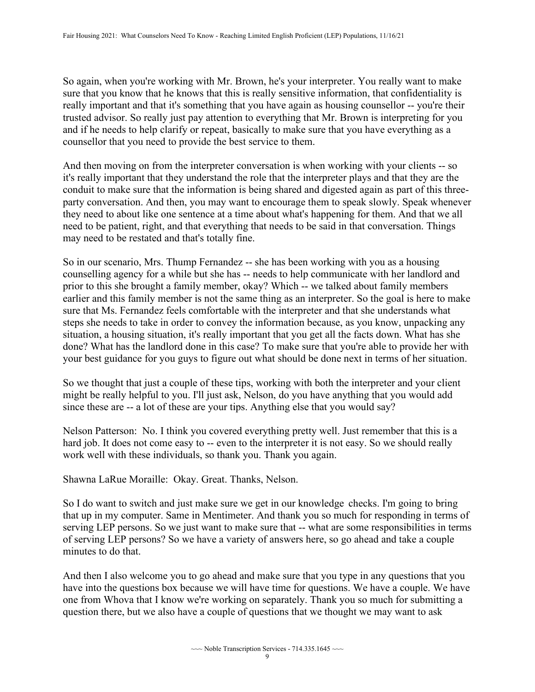really important and that it's something that you have again as housing counsellor -- you're their and if he needs to help clarify or repeat, basically to make sure that you have everything as a So again, when you're working with Mr. Brown, he's your interpreter. You really want to make sure that you know that he knows that this is really sensitive information, that confidentiality is trusted advisor. So really just pay attention to everything that Mr. Brown is interpreting for you counsellor that you need to provide the best service to them.

 And then moving on from the interpreter conversation is when working with your clients -- so it's really important that they understand the role that the interpreter plays and that they are the conduit to make sure that the information is being shared and digested again as part of this threeparty conversation. And then, you may want to encourage them to speak slowly. Speak whenever they need to about like one sentence at a time about what's happening for them. And that we all need to be patient, right, and that everything that needs to be said in that conversation. Things may need to be restated and that's totally fine.

 So in our scenario, Mrs. Thump Fernandez -- she has been working with you as a housing counselling agency for a while but she has -- needs to help communicate with her landlord and prior to this she brought a family member, okay? Which -- we talked about family members earlier and this family member is not the same thing as an interpreter. So the goal is here to make sure that Ms. Fernandez feels comfortable with the interpreter and that she understands what steps she needs to take in order to convey the information because, as you know, unpacking any situation, a housing situation, it's really important that you get all the facts down. What has she done? What has the landlord done in this case? To make sure that you're able to provide her with your best guidance for you guys to figure out what should be done next in terms of her situation.

 since these are -- a lot of these are your tips. Anything else that you would say? So we thought that just a couple of these tips, working with both the interpreter and your client might be really helpful to you. I'll just ask, Nelson, do you have anything that you would add

Nelson Patterson: No. I think you covered everything pretty well. Just remember that this is a hard job. It does not come easy to -- even to the interpreter it is not easy. So we should really work well with these individuals, so thank you. Thank you again.

Shawna LaRue Moraille: Okay. Great. Thanks, Nelson.

 So I do want to switch and just make sure we get in our knowledge checks. I'm going to bring serving LEP persons. So we just want to make sure that -- what are some responsibilities in terms that up in my computer. Same in Mentimeter. And thank you so much for responding in terms of of serving LEP persons? So we have a variety of answers here, so go ahead and take a couple minutes to do that.

 question there, but we also have a couple of questions that we thought we may want to ask And then I also welcome you to go ahead and make sure that you type in any questions that you have into the questions box because we will have time for questions. We have a couple. We have one from Whova that I know we're working on separately. Thank you so much for submitting a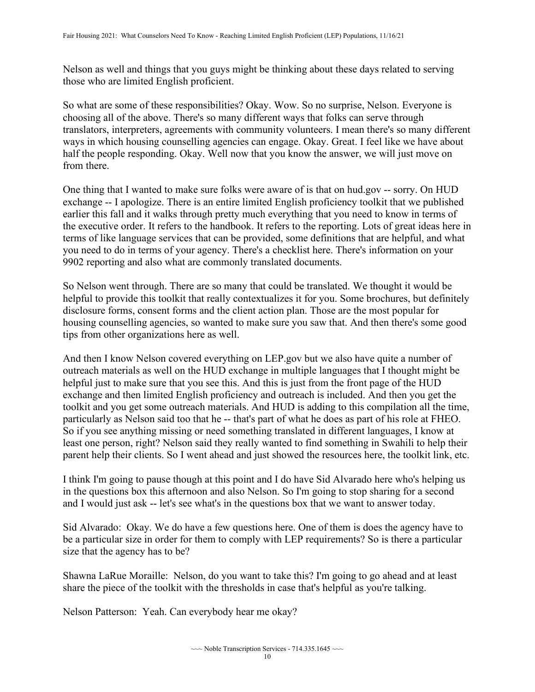Nelson as well and things that you guys might be thinking about these days related to serving those who are limited English proficient.

 ways in which housing counselling agencies can engage. Okay. Great. I feel like we have about So what are some of these responsibilities? Okay. Wow. So no surprise, Nelson. Everyone is choosing all of the above. There's so many different ways that folks can serve through translators, interpreters, agreements with community volunteers. I mean there's so many different half the people responding. Okay. Well now that you know the answer, we will just move on from there.

 exchange -- I apologize. There is an entire limited English proficiency toolkit that we published One thing that I wanted to make sure folks were aware of is that on hud.gov -- sorry. On HUD earlier this fall and it walks through pretty much everything that you need to know in terms of the executive order. It refers to the handbook. It refers to the reporting. Lots of great ideas here in terms of like language services that can be provided, some definitions that are helpful, and what you need to do in terms of your agency. There's a checklist here. There's information on your 9902 reporting and also what are commonly translated documents.

 tips from other organizations here as well. So Nelson went through. There are so many that could be translated. We thought it would be helpful to provide this toolkit that really contextualizes it for you. Some brochures, but definitely disclosure forms, consent forms and the client action plan. Those are the most popular for housing counselling agencies, so wanted to make sure you saw that. And then there's some good

 particularly as Nelson said too that he -- that's part of what he does as part of his role at FHEO. So if you see anything missing or need something translated in different languages, I know at And then I know Nelson covered everything on LEP.gov but we also have quite a number of outreach materials as well on the HUD exchange in multiple languages that I thought might be helpful just to make sure that you see this. And this is just from the front page of the HUD exchange and then limited English proficiency and outreach is included. And then you get the toolkit and you get some outreach materials. And HUD is adding to this compilation all the time, least one person, right? Nelson said they really wanted to find something in Swahili to help their parent help their clients. So I went ahead and just showed the resources here, the toolkit link, etc.

I think I'm going to pause though at this point and I do have Sid Alvarado here who's helping us in the questions box this afternoon and also Nelson. So I'm going to stop sharing for a second and I would just ask -- let's see what's in the questions box that we want to answer today.

Sid Alvarado: Okay. We do have a few questions here. One of them is does the agency have to be a particular size in order for them to comply with LEP requirements? So is there a particular size that the agency has to be?

Shawna LaRue Moraille: Nelson, do you want to take this? I'm going to go ahead and at least share the piece of the toolkit with the thresholds in case that's helpful as you're talking.

Nelson Patterson: Yeah. Can everybody hear me okay?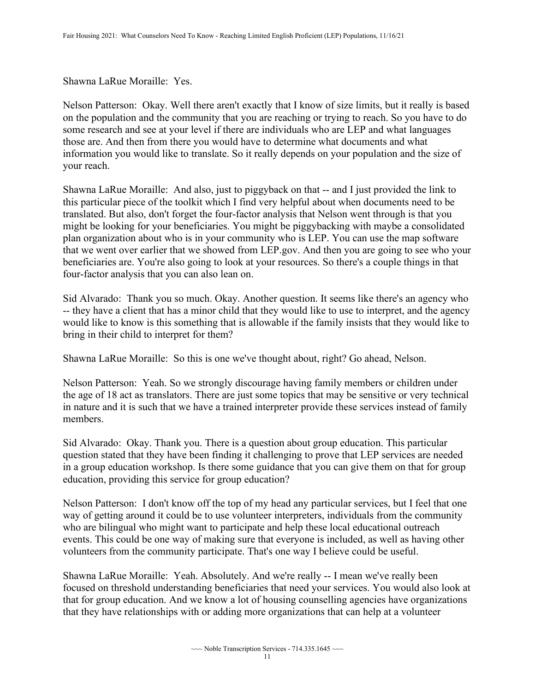## Shawna LaRue Moraille: Yes.

 Nelson Patterson: Okay. Well there aren't exactly that I know of size limits, but it really is based on the population and the community that you are reaching or trying to reach. So you have to do some research and see at your level if there are individuals who are LEP and what languages those are. And then from there you would have to determine what documents and what information you would like to translate. So it really depends on your population and the size of your reach.

 Shawna LaRue Moraille: And also, just to piggyback on that -- and I just provided the link to this particular piece of the toolkit which I find very helpful about when documents need to be translated. But also, don't forget the four-factor analysis that Nelson went through is that you might be looking for your beneficiaries. You might be piggybacking with maybe a consolidated plan organization about who is in your community who is LEP. You can use the map software that we went over earlier that we showed from LEP.gov. And then you are going to see who your beneficiaries are. You're also going to look at your resources. So there's a couple things in that four-factor analysis that you can also lean on.

Sid Alvarado: Thank you so much. Okay. Another question. It seems like there's an agency who -- they have a client that has a minor child that they would like to use to interpret, and the agency would like to know is this something that is allowable if the family insists that they would like to bring in their child to interpret for them?

Shawna LaRue Moraille: So this is one we've thought about, right? Go ahead, Nelson.

 in nature and it is such that we have a trained interpreter provide these services instead of family Nelson Patterson: Yeah. So we strongly discourage having family members or children under the age of 18 act as translators. There are just some topics that may be sensitive or very technical members.

Sid Alvarado: Okay. Thank you. There is a question about group education. This particular question stated that they have been finding it challenging to prove that LEP services are needed in a group education workshop. Is there some guidance that you can give them on that for group education, providing this service for group education?

 Nelson Patterson: I don't know off the top of my head any particular services, but I feel that one way of getting around it could be to use volunteer interpreters, individuals from the community who are bilingual who might want to participate and help these local educational outreach events. This could be one way of making sure that everyone is included, as well as having other volunteers from the community participate. That's one way I believe could be useful.

 Shawna LaRue Moraille: Yeah. Absolutely. And we're really -- I mean we've really been focused on threshold understanding beneficiaries that need your services. You would also look at that for group education. And we know a lot of housing counselling agencies have organizations that they have relationships with or adding more organizations that can help at a volunteer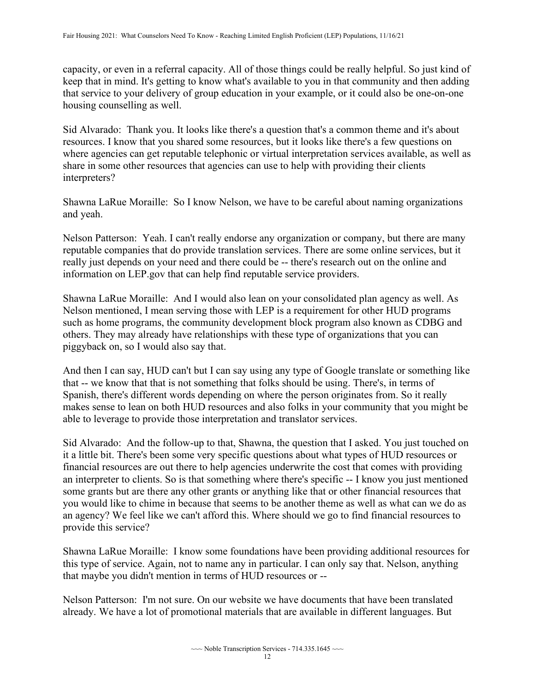capacity, or even in a referral capacity. All of those things could be really helpful. So just kind of keep that in mind. It's getting to know what's available to you in that community and then adding that service to your delivery of group education in your example, or it could also be one-on-one housing counselling as well.

 where agencies can get reputable telephonic or virtual interpretation services available, as well as Sid Alvarado: Thank you. It looks like there's a question that's a common theme and it's about resources. I know that you shared some resources, but it looks like there's a few questions on share in some other resources that agencies can use to help with providing their clients interpreters?

Shawna LaRue Moraille: So I know Nelson, we have to be careful about naming organizations and yeah.

 really just depends on your need and there could be -- there's research out on the online and Nelson Patterson: Yeah. I can't really endorse any organization or company, but there are many reputable companies that do provide translation services. There are some online services, but it information on LEP.gov that can help find reputable service providers.

Shawna LaRue Moraille: And I would also lean on your consolidated plan agency as well. As Nelson mentioned, I mean serving those with LEP is a requirement for other HUD programs such as home programs, the community development block program also known as CDBG and others. They may already have relationships with these type of organizations that you can piggyback on, so I would also say that.

 And then I can say, HUD can't but I can say using any type of Google translate or something like that -- we know that that is not something that folks should be using. There's, in terms of Spanish, there's different words depending on where the person originates from. So it really makes sense to lean on both HUD resources and also folks in your community that you might be able to leverage to provide those interpretation and translator services.

 you would like to chime in because that seems to be another theme as well as what can we do as an agency? We feel like we can't afford this. Where should we go to find financial resources to Sid Alvarado: And the follow-up to that, Shawna, the question that I asked. You just touched on it a little bit. There's been some very specific questions about what types of HUD resources or financial resources are out there to help agencies underwrite the cost that comes with providing an interpreter to clients. So is that something where there's specific -- I know you just mentioned some grants but are there any other grants or anything like that or other financial resources that provide this service?

 that maybe you didn't mention in terms of HUD resources or -- Shawna LaRue Moraille: I know some foundations have been providing additional resources for this type of service. Again, not to name any in particular. I can only say that. Nelson, anything

 Nelson Patterson: I'm not sure. On our website we have documents that have been translated already. We have a lot of promotional materials that are available in different languages. But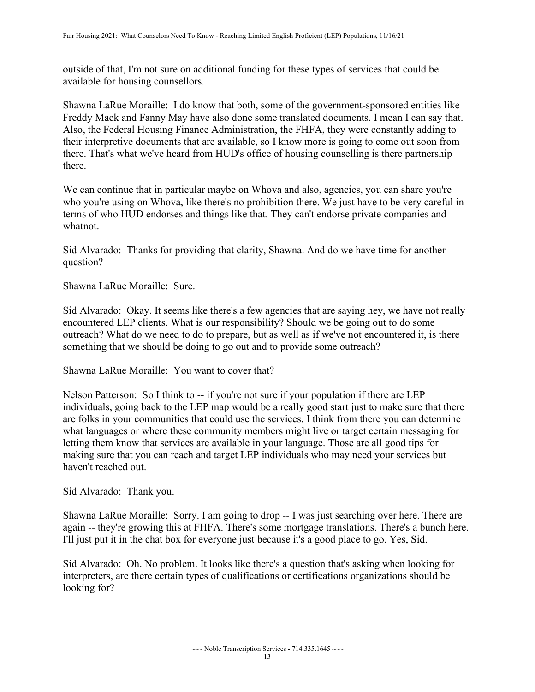outside of that, I'm not sure on additional funding for these types of services that could be available for housing counsellors.

Shawna LaRue Moraille: I do know that both, some of the government-sponsored entities like Freddy Mack and Fanny May have also done some translated documents. I mean I can say that. Also, the Federal Housing Finance Administration, the FHFA, they were constantly adding to their interpretive documents that are available, so I know more is going to come out soon from there. That's what we've heard from HUD's office of housing counselling is there partnership there.

 who you're using on Whova, like there's no prohibition there. We just have to be very careful in We can continue that in particular maybe on Whova and also, agencies, you can share you're terms of who HUD endorses and things like that. They can't endorse private companies and whatnot.

Sid Alvarado: Thanks for providing that clarity, Shawna. And do we have time for another question?

Shawna LaRue Moraille: Sure.

Sid Alvarado: Okay. It seems like there's a few agencies that are saying hey, we have not really encountered LEP clients. What is our responsibility? Should we be going out to do some outreach? What do we need to do to prepare, but as well as if we've not encountered it, is there something that we should be doing to go out and to provide some outreach?

Shawna LaRue Moraille: You want to cover that?

Nelson Patterson: So I think to -- if you're not sure if your population if there are LEP individuals, going back to the LEP map would be a really good start just to make sure that there are folks in your communities that could use the services. I think from there you can determine what languages or where these community members might live or target certain messaging for letting them know that services are available in your language. Those are all good tips for making sure that you can reach and target LEP individuals who may need your services but haven't reached out.

Sid Alvarado: Thank you.

Shawna LaRue Moraille: Sorry. I am going to drop -- I was just searching over here. There are again -- they're growing this at FHFA. There's some mortgage translations. There's a bunch here. I'll just put it in the chat box for everyone just because it's a good place to go. Yes, Sid.

Sid Alvarado: Oh. No problem. It looks like there's a question that's asking when looking for interpreters, are there certain types of qualifications or certifications organizations should be looking for?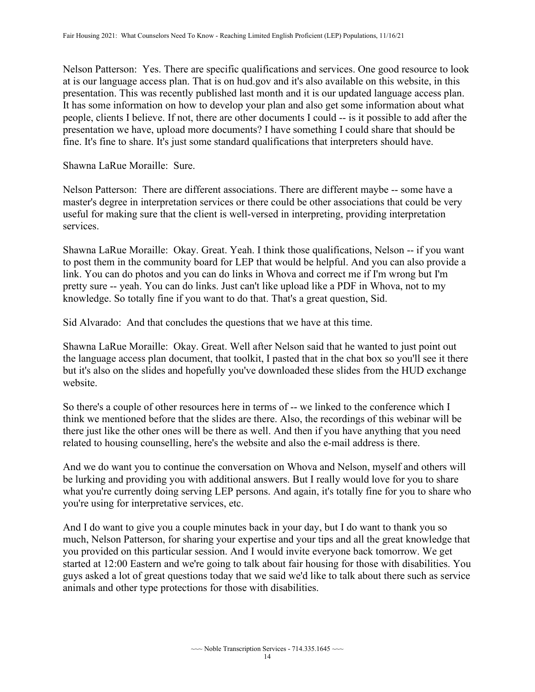at is our language access plan. That is on hud.gov and it's also available on this website, in this people, clients I believe. If not, there are other documents I could -- is it possible to add after the Nelson Patterson: Yes. There are specific qualifications and services. One good resource to look presentation. This was recently published last month and it is our updated language access plan. It has some information on how to develop your plan and also get some information about what presentation we have, upload more documents? I have something I could share that should be fine. It's fine to share. It's just some standard qualifications that interpreters should have.

Shawna LaRue Moraille: Sure.

Nelson Patterson: There are different associations. There are different maybe -- some have a master's degree in interpretation services or there could be other associations that could be very useful for making sure that the client is well-versed in interpreting, providing interpretation services.

 Shawna LaRue Moraille: Okay. Great. Yeah. I think those qualifications, Nelson -- if you want to post them in the community board for LEP that would be helpful. And you can also provide a link. You can do photos and you can do links in Whova and correct me if I'm wrong but I'm pretty sure -- yeah. You can do links. Just can't like upload like a PDF in Whova, not to my knowledge. So totally fine if you want to do that. That's a great question, Sid.

Sid Alvarado: And that concludes the questions that we have at this time.

Shawna LaRue Moraille: Okay. Great. Well after Nelson said that he wanted to just point out the language access plan document, that toolkit, I pasted that in the chat box so you'll see it there but it's also on the slides and hopefully you've downloaded these slides from the HUD exchange website.

So there's a couple of other resources here in terms of -- we linked to the conference which I think we mentioned before that the slides are there. Also, the recordings of this webinar will be there just like the other ones will be there as well. And then if you have anything that you need related to housing counselling, here's the website and also the e-mail address is there.

And we do want you to continue the conversation on Whova and Nelson, myself and others will be lurking and providing you with additional answers. But I really would love for you to share what you're currently doing serving LEP persons. And again, it's totally fine for you to share who you're using for interpretative services, etc.

And I do want to give you a couple minutes back in your day, but I do want to thank you so much, Nelson Patterson, for sharing your expertise and your tips and all the great knowledge that you provided on this particular session. And I would invite everyone back tomorrow. We get started at 12:00 Eastern and we're going to talk about fair housing for those with disabilities. You guys asked a lot of great questions today that we said we'd like to talk about there such as service animals and other type protections for those with disabilities.